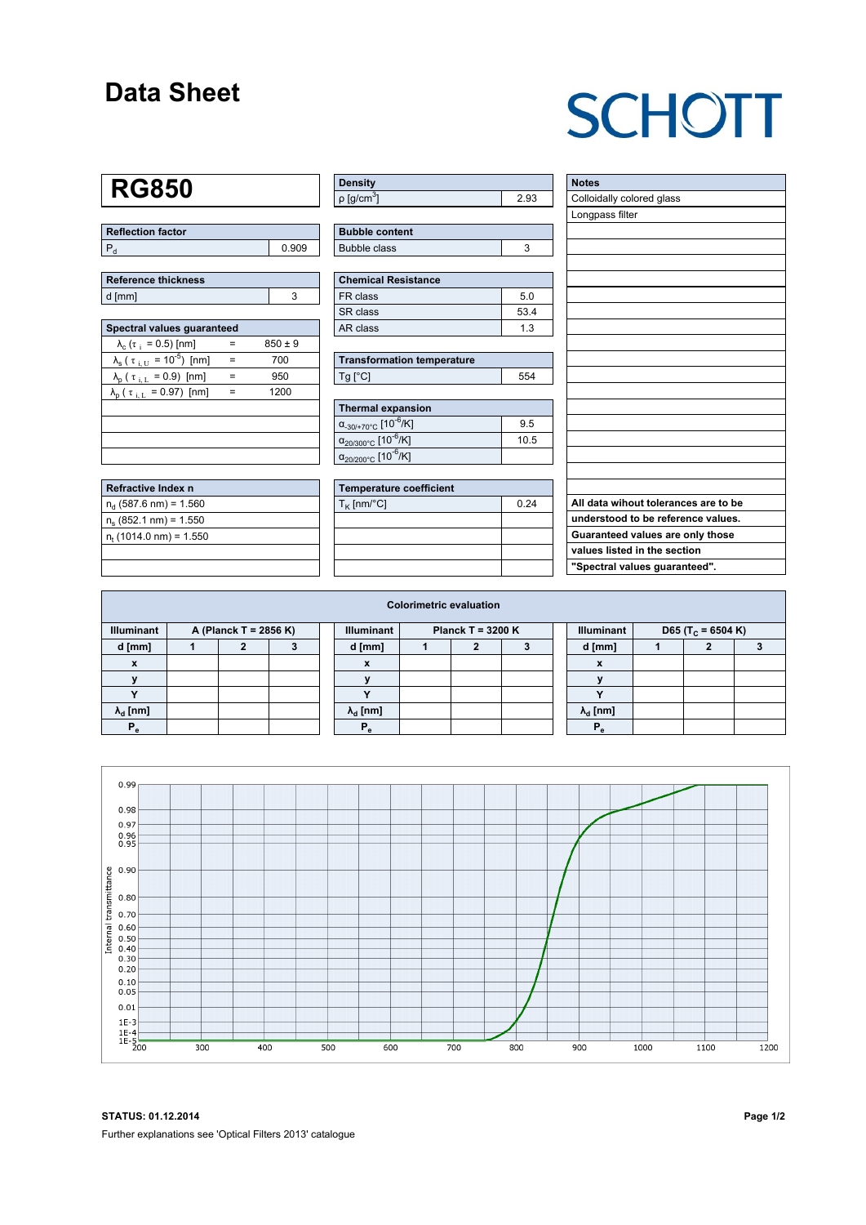### **Data Sheet**

## **SCHOTT**

### **RG850**

| Reflection factor |       |
|-------------------|-------|
|                   | 0.909 |

| <b>Reference thickness</b> |  |
|----------------------------|--|
| d [mm]                     |  |

| Spectral values quaranteed                                      |     |             |  |  |  |  |  |  |  |
|-----------------------------------------------------------------|-----|-------------|--|--|--|--|--|--|--|
| $\lambda_c$ ( $\tau_i$ = 0.5) [nm]                              |     | $850 \pm 9$ |  |  |  |  |  |  |  |
| $\lambda_{\rm s}$ ( $\tau_{\rm i, U}$ = 10 <sup>-5</sup> ) [nm] | $=$ | 700         |  |  |  |  |  |  |  |
| $\lambda_{\rm p}$ ( $\tau_{\rm i, L}$ = 0.9) [nm]               | $=$ | 950         |  |  |  |  |  |  |  |
| $\lambda_{\rm p}$ ( $\tau_{\rm i, L}$ = 0.97) [nm]              | $=$ | 1200        |  |  |  |  |  |  |  |
|                                                                 |     |             |  |  |  |  |  |  |  |
|                                                                 |     |             |  |  |  |  |  |  |  |
|                                                                 |     |             |  |  |  |  |  |  |  |
|                                                                 |     |             |  |  |  |  |  |  |  |

| Refractive Index n         |  |
|----------------------------|--|
| $n_{d}$ (587.6 nm) = 1.560 |  |
| $n_e$ (852.1 nm) = 1.550   |  |
| $n_t$ (1014.0 nm) = 1.550  |  |
|                            |  |

| <b>Density</b>           |    |
|--------------------------|----|
| $p$ [g/cm <sup>3</sup> ] | 93 |

| <b>Bubble content</b> |  |
|-----------------------|--|
| Bubble class          |  |

| Chemical Resistance |      |  |  |  |  |
|---------------------|------|--|--|--|--|
| l FR class          | 5.0  |  |  |  |  |
| SR class            | 53.4 |  |  |  |  |
| l AR class          | 13   |  |  |  |  |

| <b>Transformation temperature</b> |     |  |  |  |  |
|-----------------------------------|-----|--|--|--|--|
| $Ta$ $C1$                         | 554 |  |  |  |  |

| Thermal expansion                                 |      |
|---------------------------------------------------|------|
| $\alpha_{.30/+70\degree}$ C [10 <sup>-6</sup> /K] | 9.5  |
| $\alpha_{20/300^{\circ}C}$ [10 <sup>-6</sup> /K]  | 10.5 |
| $\alpha_{20/200^{\circ}C}$ [10 <sup>-6</sup> /K]  |      |

| Temperature coefficient |      |  |  |  |  |  |
|-------------------------|------|--|--|--|--|--|
| $T_{\rm K}$ [nm/°C]     | 0.24 |  |  |  |  |  |
|                         |      |  |  |  |  |  |
|                         |      |  |  |  |  |  |
|                         |      |  |  |  |  |  |
|                         |      |  |  |  |  |  |

| <b>Notes</b>                         |
|--------------------------------------|
| Colloidally colored glass            |
| Longpass filter                      |
|                                      |
|                                      |
|                                      |
|                                      |
|                                      |
|                                      |
|                                      |
|                                      |
|                                      |
|                                      |
|                                      |
|                                      |
|                                      |
|                                      |
|                                      |
|                                      |
|                                      |
| All data wihout tolerances are to be |
| understood to be reference values.   |
| Guaranteed values are only those     |
| values listed in the section         |
| "Spectral values guaranteed".        |

| <b>Colorimetric evaluation</b>             |  |  |  |  |                                          |  |  |  |  |                                                    |  |  |  |
|--------------------------------------------|--|--|--|--|------------------------------------------|--|--|--|--|----------------------------------------------------|--|--|--|
| <b>Illuminant</b><br>A (Planck T = 2856 K) |  |  |  |  | <b>Illuminant</b><br>Planck T = $3200 K$ |  |  |  |  | <b>Illuminant</b><br>D65 (T <sub>c</sub> = 6504 K) |  |  |  |
| d [mm]                                     |  |  |  |  | d [mm]                                   |  |  |  |  | d [mm]                                             |  |  |  |
| X                                          |  |  |  |  | X                                        |  |  |  |  | $\boldsymbol{x}$                                   |  |  |  |
|                                            |  |  |  |  |                                          |  |  |  |  |                                                    |  |  |  |
|                                            |  |  |  |  |                                          |  |  |  |  | $\cdot$                                            |  |  |  |
| $\lambda_{\rm d}$ [nm]                     |  |  |  |  | $\lambda_{\rm d}$ [nm]                   |  |  |  |  | $\lambda_{\rm d}$ [nm]                             |  |  |  |
| Р,                                         |  |  |  |  | $P_{\alpha}$                             |  |  |  |  | P.                                                 |  |  |  |